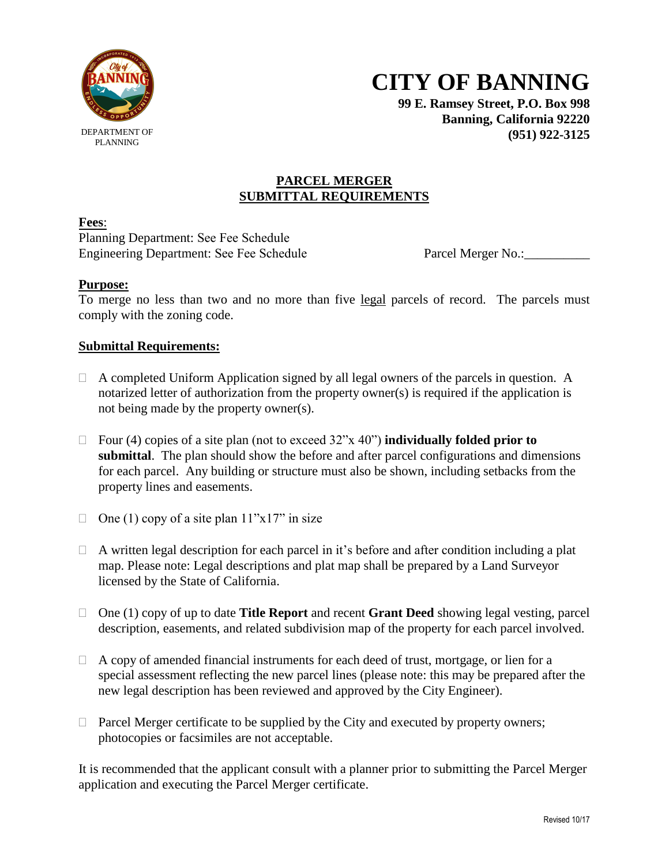

PLANNING

**CITY OF BANNING**

**99 E. Ramsey Street, P.O. Box 998 Banning, California 92220 (951) 922-3125**

### **PARCEL MERGER SUBMITTAL REQUIREMENTS**

**Fees**:

Planning Department: See Fee Schedule Engineering Department: See Fee Schedule Parcel Merger No.:

## **Purpose:**

To merge no less than two and no more than five legal parcels of record. The parcels must comply with the zoning code.

## **Submittal Requirements:**

- $\Box$  A completed Uniform Application signed by all legal owners of the parcels in question. A notarized letter of authorization from the property owner(s) is required if the application is not being made by the property owner(s).
- Four (4) copies of a site plan (not to exceed  $32$ "x 40") **individually folded prior to submittal**. The plan should show the before and after parcel configurations and dimensions for each parcel. Any building or structure must also be shown, including setbacks from the property lines and easements.
- $\Box$  One (1) copy of a site plan 11"x17" in size
- $\Box$  A written legal description for each parcel in it's before and after condition including a plat map. Please note: Legal descriptions and plat map shall be prepared by a Land Surveyor licensed by the State of California.
- One (1) copy of up to date **Title Report** and recent **Grant Deed** showing legal vesting, parcel description, easements, and related subdivision map of the property for each parcel involved.
- $\Box$  A copy of amended financial instruments for each deed of trust, mortgage, or lien for a special assessment reflecting the new parcel lines (please note: this may be prepared after the new legal description has been reviewed and approved by the City Engineer).
- $\Box$  Parcel Merger certificate to be supplied by the City and executed by property owners; photocopies or facsimiles are not acceptable.

It is recommended that the applicant consult with a planner prior to submitting the Parcel Merger application and executing the Parcel Merger certificate.